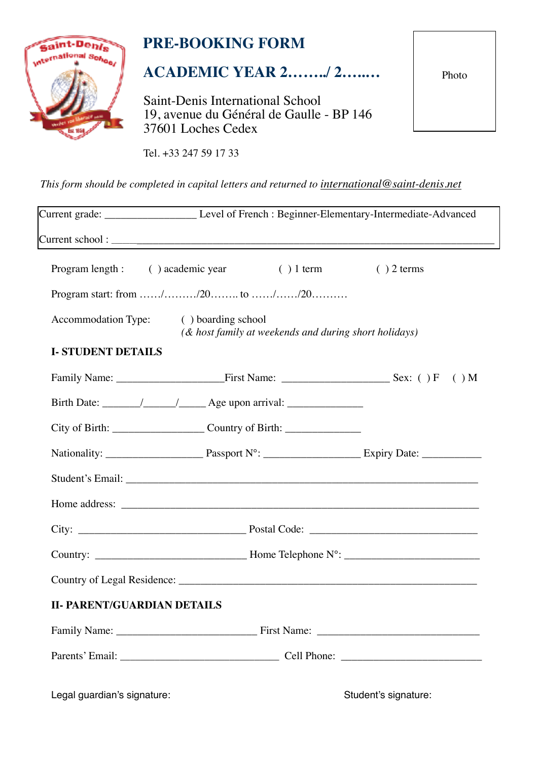

# **PRE-BOOKING FORM**

# **ACADEMIC YEAR 2……../ 2…..…**

Saint-Denis International School 19, avenue du Général de Gaulle - BP 146 37601 Loches Cedex

Tel. +33 247 59 17 33

*This form should be completed in capital letters and returned to [international@saint-denis.net](mailto:international@saint-denis.net?subject=)* 

|                                                                |                                                       |  | Current grade: ___________________________Level of French : Beginner-Elementary-Intermediate-Advanced |
|----------------------------------------------------------------|-------------------------------------------------------|--|-------------------------------------------------------------------------------------------------------|
|                                                                |                                                       |  |                                                                                                       |
| Program length: () academic year () 1 term () 2 terms          |                                                       |  |                                                                                                       |
|                                                                |                                                       |  |                                                                                                       |
| Accommodation Type: (boarding school                           | (& host family at weekends and during short holidays) |  |                                                                                                       |
| <b>I-STUDENT DETAILS</b>                                       |                                                       |  |                                                                                                       |
|                                                                |                                                       |  |                                                                                                       |
|                                                                |                                                       |  |                                                                                                       |
| $City of Birth: ____________$ $Country of Birth: ____________$ |                                                       |  |                                                                                                       |
|                                                                |                                                       |  |                                                                                                       |
|                                                                |                                                       |  |                                                                                                       |
|                                                                |                                                       |  |                                                                                                       |
|                                                                |                                                       |  |                                                                                                       |
|                                                                |                                                       |  |                                                                                                       |
|                                                                |                                                       |  |                                                                                                       |
| <b>II- PARENT/GUARDIAN DETAILS</b>                             |                                                       |  |                                                                                                       |
|                                                                |                                                       |  |                                                                                                       |
|                                                                |                                                       |  |                                                                                                       |

Legal guardian's signature:  $\qquad \qquad$  Student's signature:

Photo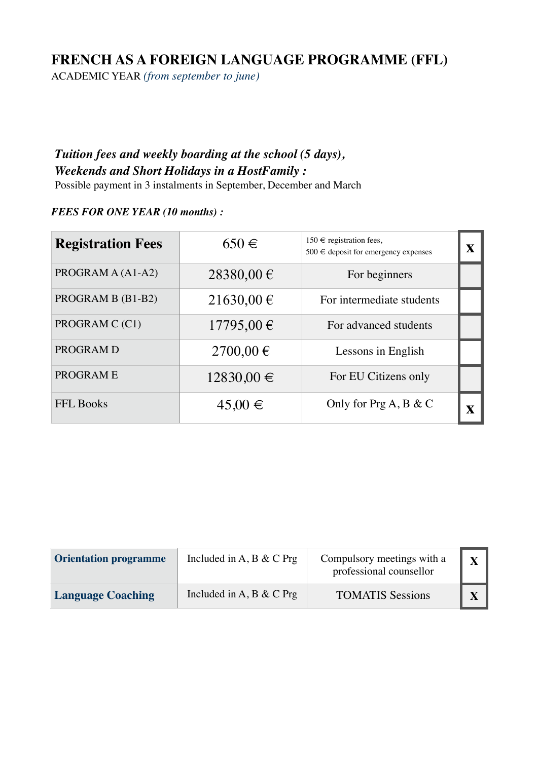## **FRENCH AS A FOREIGN LANGUAGE PROGRAMME (FFL)**

ACADEMIC YEAR *(from september to june)*

### *Tuition fees and weekly boarding at the school (5 days), Weekends and Short Holidays in a HostFamily :*

Possible payment in 3 instalments in September, December and March

### *FEES FOR ONE YEAR (10 months) :*

| <b>Registration Fees</b> | $650 \in$      | 150 € registration fees,<br>$500 \in$ deposit for emergency expenses | $\overline{\mathbf{X}}$ |
|--------------------------|----------------|----------------------------------------------------------------------|-------------------------|
| PROGRAM A (A1-A2)        | 28380,00 €     | For beginners                                                        |                         |
| PROGRAM B (B1-B2)        | 21630,00 €     | For intermediate students                                            |                         |
| PROGRAM C (C1)           | 17795,00€      | For advanced students                                                |                         |
| PROGRAM D                | $2700,00 \in$  | Lessons in English                                                   |                         |
| PROGRAM E                | $12830,00 \in$ | For EU Citizens only                                                 |                         |
| <b>FFL Books</b>         | $45,00 \in$    | Only for $\Pr[A, B \& C]$                                            |                         |

| <b>Orientation programme</b> | Included in A, B & C Prg | Compulsory meetings with a<br>professional counsellor | X |
|------------------------------|--------------------------|-------------------------------------------------------|---|
| <b>Language Coaching</b>     | Included in A, B & C Prg | <b>TOMATIS Sessions</b>                               |   |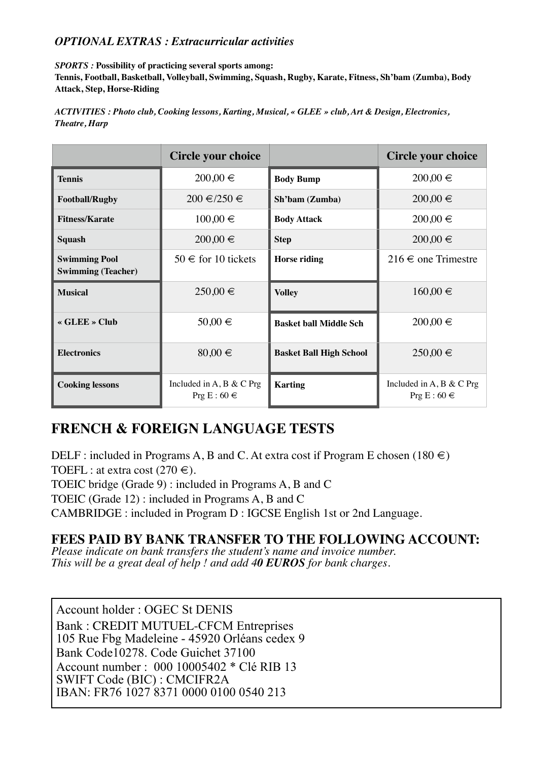### *OPTIONAL EXTRAS : Extracurricular activities*

*SPORTS :* **Possibility of practicing several sports among:** 

**Tennis, Football, Basketball, Volleyball, Swimming, Squash, Rugby, Karate, Fitness, Sh'bam (Zumba), Body Attack, Step, Horse-Riding**

*ACTIVITIES : Photo club, Cooking lessons, Karting, Musical, « GLEE » club, Art & Design, Electronics, Theatre, Harp*

|                                                   | Circle your choice                           |                                | Circle your choice                           |
|---------------------------------------------------|----------------------------------------------|--------------------------------|----------------------------------------------|
| <b>Tennis</b>                                     | $200,00 \in$                                 | <b>Body Bump</b>               | $200,00 \in$                                 |
| <b>Football/Rugby</b>                             | $200 \in \ell 250 \in$                       | Sh'bam (Zumba)                 | $200,00 \in$                                 |
| <b>Fitness/Karate</b>                             | $100,00 \in$                                 | <b>Body Attack</b>             | $200,00 \in$                                 |
| <b>Squash</b>                                     | $200,00 \in$                                 | <b>Step</b>                    | $200,00 \in$                                 |
| <b>Swimming Pool</b><br><b>Swimming (Teacher)</b> | $50 \in$ for 10 tickets                      | <b>Horse riding</b>            | $216 \in$ one Trimestre                      |
| <b>Musical</b>                                    | $250,00 \in$                                 | <b>Volley</b>                  | $160,00 \in$                                 |
| « GLEE » Club                                     | 50,00 €                                      | <b>Basket ball Middle Sch</b>  | $200,00 \in$                                 |
| <b>Electronics</b>                                | $80,00 \in$                                  | <b>Basket Ball High School</b> | $250,00 \in$                                 |
| <b>Cooking lessons</b>                            | Included in A, B & C Prg<br>Prg E : $60 \in$ | <b>Karting</b>                 | Included in A, B & C Prg<br>Prg E : $60 \in$ |

## **FRENCH & FOREIGN LANGUAGE TESTS**

DELF : included in Programs A, B and C. At extra cost if Program E chosen (180  $\in$ ) TOEFL : at extra cost  $(270 \in)$ .

TOEIC bridge (Grade 9) : included in Programs A, B and C

TOEIC (Grade 12) : included in Programs A, B and C

CAMBRIDGE : included in Program D : IGCSE English 1st or 2nd Language.

### **FEES PAID BY BANK TRANSFER TO THE FOLLOWING ACCOUNT:**

*Please indicate on bank transfers the student's name and invoice number. This will be a great deal of help ! and add 40 EUROS for bank charges.*

Account holder : OGEC St DENIS Bank : CREDIT MUTUEL-CFCM Entreprises 105 Rue Fbg Madeleine - 45920 Orléans cedex 9 Bank Code10278. Code Guichet 37100 Account number : 000 10005402 \* Clé RIB 13 SWIFT Code (BIC) : CMCIFR2A IBAN: FR76 1027 8371 0000 0100 0540 213